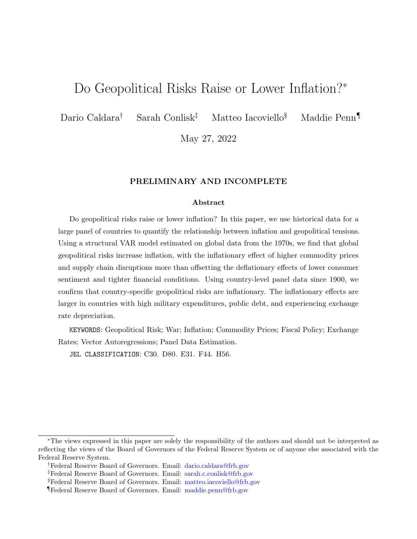# Do Geopolitical Risks Raise or Lower Inflation?<sup>∗</sup>

Dario Caldara<sup>†</sup> Sarah Conlisk<sup>‡</sup> Matteo Iacoviello<sup>§</sup> Maddie Penn<sup>¶</sup>

May 27, 2022

#### PRELIMINARY AND INCOMPLETE

#### Abstract

Do geopolitical risks raise or lower inflation? In this paper, we use historical data for a large panel of countries to quantify the relationship between inflation and geopolitical tensions. Using a structural VAR model estimated on global data from the 1970s, we find that global geopolitical risks increase inflation, with the inflationary effect of higher commodity prices and supply chain disruptions more than offsetting the deflationary effects of lower consumer sentiment and tighter financial conditions. Using country-level panel data since 1900, we confirm that country-specific geopolitical risks are inflationary. The inflationary effects are larger in countries with high military expenditures, public debt, and experiencing exchange rate depreciation.

KEYWORDS: Geopolitical Risk; War; Inflation; Commodity Prices; Fiscal Policy; Exchange Rates; Vector Autoregressions; Panel Data Estimation.

JEL CLASSIFICATION: C30, D80, E31, F44, H56.

<sup>∗</sup>The views expressed in this paper are solely the responsibility of the authors and should not be interpreted as reflecting the views of the Board of Governors of the Federal Reserve System or of anyone else associated with the Federal Reserve System.

<sup>†</sup>Federal Reserve Board of Governors. Email: [dario.caldara@frb.gov](mailto:Dario_Caldara)

<sup>‡</sup>Federal Reserve Board of Governors. Email: [sarah.c.conlisk@frb.gov](mailto:Sarah_Conlisk)

<sup>§</sup>Federal Reserve Board of Governors. Email: [matteo.iacoviello@frb.gov](mailto:Matteo_Iacoviello)

<sup>¶</sup>Federal Reserve Board of Governors. Email: [maddie.penn@frb.gov](mailto:Sarah_Conlisk)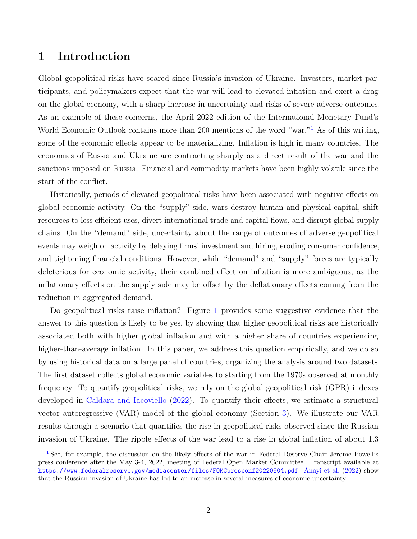### 1 Introduction

<span id="page-1-1"></span>Global geopolitical risks have soared since Russia's invasion of Ukraine. Investors, market participants, and policymakers expect that the war will lead to elevated inflation and exert a drag on the global economy, with a sharp increase in uncertainty and risks of severe adverse outcomes. As an example of these concerns, the April 2022 edition of the International Monetary Fund's World Economic Outlook contains more than 200 mentions of the word "war."<sup>[1](#page-1-0)</sup> As of this writing, some of the economic effects appear to be materializing. Inflation is high in many countries. The economies of Russia and Ukraine are contracting sharply as a direct result of the war and the sanctions imposed on Russia. Financial and commodity markets have been highly volatile since the start of the conflict.

Historically, periods of elevated geopolitical risks have been associated with negative effects on global economic activity. On the "supply" side, wars destroy human and physical capital, shift resources to less efficient uses, divert international trade and capital flows, and disrupt global supply chains. On the "demand" side, uncertainty about the range of outcomes of adverse geopolitical events may weigh on activity by delaying firms' investment and hiring, eroding consumer confidence, and tightening financial conditions. However, while "demand" and "supply" forces are typically deleterious for economic activity, their combined effect on inflation is more ambiguous, as the inflationary effects on the supply side may be offset by the deflationary effects coming from the reduction in aggregated demand.

Do geopolitical risks raise inflation? Figure [1](#page-21-0) provides some suggestive evidence that the answer to this question is likely to be yes, by showing that higher geopolitical risks are historically associated both with higher global inflation and with a higher share of countries experiencing higher-than-average inflation. In this paper, we address this question empirically, and we do so by using historical data on a large panel of countries, organizing the analysis around two datasets. The first dataset collects global economic variables to starting from the 1970s observed at monthly frequency. To quantify geopolitical risks, we rely on the global geopolitical risk (GPR) indexes developed in [Caldara and Iacoviello](#page-11-0) [\(2022\)](#page-11-0). To quantify their effects, we estimate a structural vector autoregressive (VAR) model of the global economy (Section [3\)](#page-5-0). We illustrate our VAR results through a scenario that quantifies the rise in geopolitical risks observed since the Russian invasion of Ukraine. The ripple effects of the war lead to a rise in global inflation of about 1.3

<span id="page-1-0"></span><sup>&</sup>lt;sup>[1](#page-1-1)</sup> See, for example, the discussion on the likely effects of the war in Federal Reserve Chair Jerome Powell's press conference after the May 3-4, 2022, meeting of Federal Open Market Committee. Transcript available at <https://www.federalreserve.gov/mediacenter/files/FOMCpresconf20220504.pdf>. [Anayi et al.](#page-11-1) [\(2022\)](#page-11-1) show that the Russian invasion of Ukraine has led to an increase in several measures of economic uncertainty.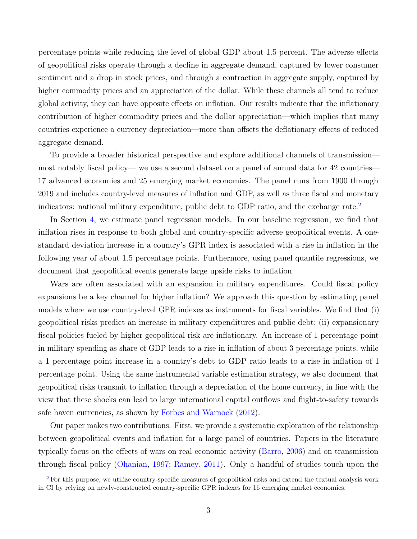percentage points while reducing the level of global GDP about 1.5 percent. The adverse effects of geopolitical risks operate through a decline in aggregate demand, captured by lower consumer sentiment and a drop in stock prices, and through a contraction in aggregate supply, captured by higher commodity prices and an appreciation of the dollar. While these channels all tend to reduce global activity, they can have opposite effects on inflation. Our results indicate that the inflationary contribution of higher commodity prices and the dollar appreciation—which implies that many countries experience a currency depreciation—more than offsets the deflationary effects of reduced aggregate demand.

To provide a broader historical perspective and explore additional channels of transmission most notably fiscal policy— we use a second dataset on a panel of annual data for 42 countries— 17 advanced economies and 25 emerging market economies. The panel runs from 1900 through 2019 and includes country-level measures of inflation and GDP, as well as three fiscal and monetary indicators: national military expenditure, public debt to GDP ratio, and the exchange rate.<sup>[2](#page-2-0)</sup>

<span id="page-2-1"></span>In Section [4,](#page-6-0) we estimate panel regression models. In our baseline regression, we find that inflation rises in response to both global and country-specific adverse geopolitical events. A onestandard deviation increase in a country's GPR index is associated with a rise in inflation in the following year of about 1.5 percentage points. Furthermore, using panel quantile regressions, we document that geopolitical events generate large upside risks to inflation.

Wars are often associated with an expansion in military expenditures. Could fiscal policy expansions be a key channel for higher inflation? We approach this question by estimating panel models where we use country-level GPR indexes as instruments for fiscal variables. We find that (i) geopolitical risks predict an increase in military expenditures and public debt; (ii) expansionary fiscal policies fueled by higher geopolitical risk are inflationary. An increase of 1 percentage point in military spending as share of GDP leads to a rise in inflation of about 3 percentage points, while a 1 percentage point increase in a country's debt to GDP ratio leads to a rise in inflation of 1 percentage point. Using the same instrumental variable estimation strategy, we also document that geopolitical risks transmit to inflation through a depreciation of the home currency, in line with the view that these shocks can lead to large international capital outflows and flight-to-safety towards safe haven currencies, as shown by [Forbes and Warnock](#page-11-2) [\(2012\)](#page-11-2).

Our paper makes two contributions. First, we provide a systematic exploration of the relationship between geopolitical events and inflation for a large panel of countries. Papers in the literature typically focus on the effects of wars on real economic activity [\(Barro,](#page-11-3) [2006\)](#page-11-3) and on transmission through fiscal policy [\(Ohanian,](#page-11-4) [1997;](#page-11-4) [Ramey,](#page-11-5) [2011\)](#page-11-5). Only a handful of studies touch upon the

<span id="page-2-0"></span><sup>&</sup>lt;sup>[2](#page-2-1)</sup> For this purpose, we utilize country-specific measures of geopolitical risks and extend the textual analysis work in CI by relying on newly-constructed country-specific GPR indexes for 16 emerging market economies.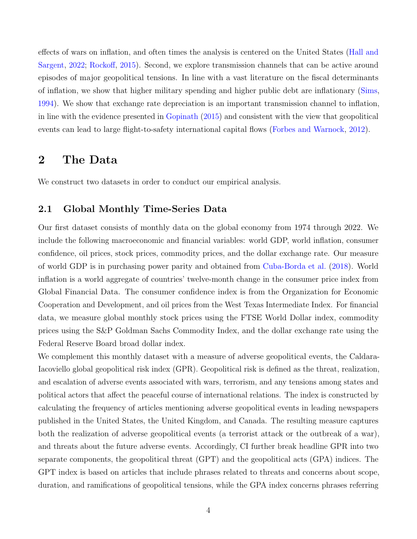effects of wars on inflation, and often times the analysis is centered on the United States [\(Hall and](#page-11-6) [Sargent,](#page-11-6) [2022;](#page-11-6) [Rockoff,](#page-11-7) [2015\)](#page-11-7). Second, we explore transmission channels that can be active around episodes of major geopolitical tensions. In line with a vast literature on the fiscal determinants of inflation, we show that higher military spending and higher public debt are inflationary [\(Sims,](#page-12-0) [1994\)](#page-12-0). We show that exchange rate depreciation is an important transmission channel to inflation, in line with the evidence presented in [Gopinath](#page-11-8) [\(2015\)](#page-11-8) and consistent with the view that geopolitical events can lead to large flight-to-safety international capital flows [\(Forbes and Warnock,](#page-11-2) [2012\)](#page-11-2).

## 2 The Data

We construct two datasets in order to conduct our empirical analysis.

### 2.1 Global Monthly Time-Series Data

Our first dataset consists of monthly data on the global economy from 1974 through 2022. We include the following macroeconomic and financial variables: world GDP, world inflation, consumer confidence, oil prices, stock prices, commodity prices, and the dollar exchange rate. Our measure of world GDP is in purchasing power parity and obtained from [Cuba-Borda et al.](#page-11-9) [\(2018\)](#page-11-9). World inflation is a world aggregate of countries' twelve-month change in the consumer price index from Global Financial Data. The consumer confidence index is from the Organization for Economic Cooperation and Development, and oil prices from the West Texas Intermediate Index. For financial data, we measure global monthly stock prices using the FTSE World Dollar index, commodity prices using the S&P Goldman Sachs Commodity Index, and the dollar exchange rate using the Federal Reserve Board broad dollar index.

We complement this monthly dataset with a measure of adverse geopolitical events, the Caldara-Iacoviello global geopolitical risk index (GPR). Geopolitical risk is defined as the threat, realization, and escalation of adverse events associated with wars, terrorism, and any tensions among states and political actors that affect the peaceful course of international relations. The index is constructed by calculating the frequency of articles mentioning adverse geopolitical events in leading newspapers published in the United States, the United Kingdom, and Canada. The resulting measure captures both the realization of adverse geopolitical events (a terrorist attack or the outbreak of a war), and threats about the future adverse events. Accordingly, CI further break headline GPR into two separate components, the geopolitical threat (GPT) and the geopolitical acts (GPA) indices. The GPT index is based on articles that include phrases related to threats and concerns about scope, duration, and ramifications of geopolitical tensions, while the GPA index concerns phrases referring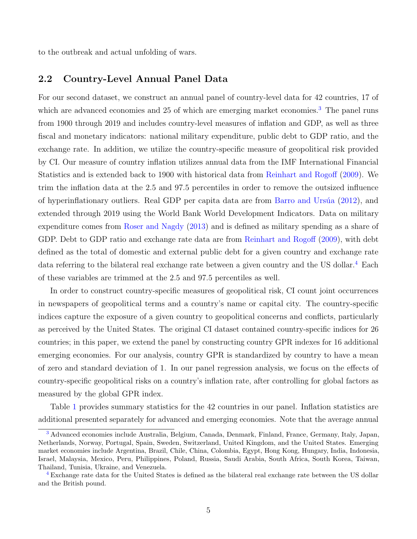to the outbreak and actual unfolding of wars.

### 2.2 Country-Level Annual Panel Data

<span id="page-4-2"></span>For our second dataset, we construct an annual panel of country-level data for 42 countries, 17 of which are advanced economies and 25 of which are emerging market economies.<sup>[3](#page-4-0)</sup> The panel runs from 1900 through 2019 and includes country-level measures of inflation and GDP, as well as three fiscal and monetary indicators: national military expenditure, public debt to GDP ratio, and the exchange rate. In addition, we utilize the country-specific measure of geopolitical risk provided by CI. Our measure of country inflation utilizes annual data from the IMF International Financial Statistics and is extended back to 1900 with historical data from [Reinhart and Rogoff](#page-11-10) [\(2009\)](#page-11-10). We trim the inflation data at the 2.5 and 97.5 percentiles in order to remove the outsized influence of hyperinflationary outliers. Real GDP per capita data are from Barro and Ursúa  $(2012)$ , and extended through 2019 using the World Bank World Development Indicators. Data on military expenditure comes from [Roser and Nagdy](#page-12-1) [\(2013\)](#page-12-1) and is defined as military spending as a share of GDP. Debt to GDP ratio and exchange rate data are from [Reinhart and Rogoff](#page-11-10) [\(2009\)](#page-11-10), with debt defined as the total of domestic and external public debt for a given country and exchange rate data referring to the bilateral real exchange rate between a given country and the US dollar.[4](#page-4-1) Each of these variables are trimmed at the 2.5 and 97.5 percentiles as well.

<span id="page-4-3"></span>In order to construct country-specific measures of geopolitical risk, CI count joint occurrences in newspapers of geopolitical terms and a country's name or capital city. The country-specific indices capture the exposure of a given country to geopolitical concerns and conflicts, particularly as perceived by the United States. The original CI dataset contained country-specific indices for 26 countries; in this paper, we extend the panel by constructing country GPR indexes for 16 additional emerging economies. For our analysis, country GPR is standardized by country to have a mean of zero and standard deviation of 1. In our panel regression analysis, we focus on the effects of country-specific geopolitical risks on a country's inflation rate, after controlling for global factors as measured by the global GPR index.

Table [1](#page-13-0) provides summary statistics for the 42 countries in our panel. Inflation statistics are additional presented separately for advanced and emerging economies. Note that the average annual

<span id="page-4-0"></span>[<sup>3</sup>](#page-4-2) Advanced economies include Australia, Belgium, Canada, Denmark, Finland, France, Germany, Italy, Japan, Netherlands, Norway, Portugal, Spain, Sweden, Switzerland, United Kingdom, and the United States. Emerging market economies include Argentina, Brazil, Chile, China, Colombia, Egypt, Hong Kong, Hungary, India, Indonesia, Israel, Malaysia, Mexico, Peru, Philippines, Poland, Russia, Saudi Arabia, South Africa, South Korea, Taiwan, Thailand, Tunisia, Ukraine, and Venezuela.

<span id="page-4-1"></span>[<sup>4</sup>](#page-4-3) Exchange rate data for the United States is defined as the bilateral real exchange rate between the US dollar and the British pound.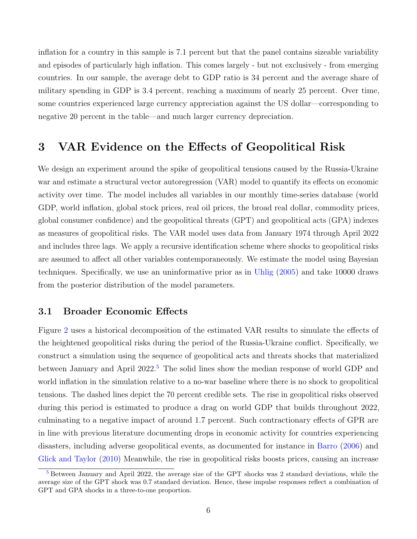inflation for a country in this sample is 7.1 percent but that the panel contains sizeable variability and episodes of particularly high inflation. This comes largely - but not exclusively - from emerging countries. In our sample, the average debt to GDP ratio is 34 percent and the average share of military spending in GDP is 3.4 percent, reaching a maximum of nearly 25 percent. Over time, some countries experienced large currency appreciation against the US dollar—corresponding to negative 20 percent in the table—and much larger currency depreciation.

### <span id="page-5-0"></span>3 VAR Evidence on the Effects of Geopolitical Risk

We design an experiment around the spike of geopolitical tensions caused by the Russia-Ukraine war and estimate a structural vector autoregression (VAR) model to quantify its effects on economic activity over time. The model includes all variables in our monthly time-series database (world GDP, world inflation, global stock prices, real oil prices, the broad real dollar, commodity prices, global consumer confidence) and the geopolitical threats (GPT) and geopolitical acts (GPA) indexes as measures of geopolitical risks. The VAR model uses data from January 1974 through April 2022 and includes three lags. We apply a recursive identification scheme where shocks to geopolitical risks are assumed to affect all other variables contemporaneously. We estimate the model using Bayesian techniques. Specifically, we use an uninformative prior as in [Uhlig](#page-12-2) [\(2005\)](#page-12-2) and take 10000 draws from the posterior distribution of the model parameters.

#### 3.1 Broader Economic Effects

<span id="page-5-2"></span>Figure [2](#page-22-0) uses a historical decomposition of the estimated VAR results to simulate the effects of the heightened geopolitical risks during the period of the Russia-Ukraine conflict. Specifically, we construct a simulation using the sequence of geopolitical acts and threats shocks that materialized between January and April 2022.<sup>[5](#page-5-1)</sup> The solid lines show the median response of world GDP and world inflation in the simulation relative to a no-war baseline where there is no shock to geopolitical tensions. The dashed lines depict the 70 percent credible sets. The rise in geopolitical risks observed during this period is estimated to produce a drag on world GDP that builds throughout 2022, culminating to a negative impact of around 1.7 percent. Such contractionary effects of GPR are in line with previous literature documenting drops in economic activity for countries experiencing disasters, including adverse geopolitical events, as documented for instance in [Barro](#page-11-3) [\(2006\)](#page-11-3) and [Glick and Taylor](#page-11-12) [\(2010\)](#page-11-12) Meanwhile, the rise in geopolitical risks boosts prices, causing an increase

<span id="page-5-1"></span><sup>&</sup>lt;sup>[5](#page-5-2)</sup> Between January and April 2022, the average size of the GPT shocks was 2 standard deviations, while the average size of the GPT shock was 0.7 standard deviation. Hence, these impulse responses reflect a combination of GPT and GPA shocks in a three-to-one proportion.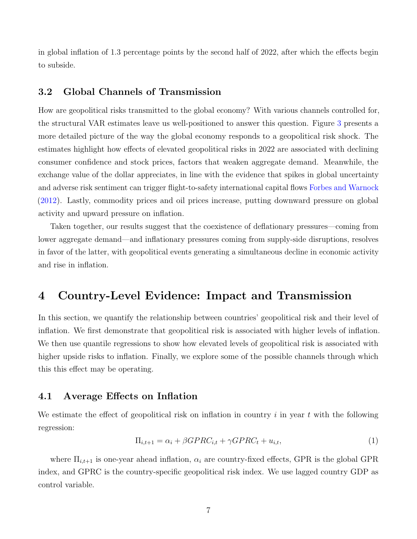in global inflation of 1.3 percentage points by the second half of 2022, after which the effects begin to subside.

#### 3.2 Global Channels of Transmission

How are geopolitical risks transmitted to the global economy? With various channels controlled for, the structural VAR estimates leave us well-positioned to answer this question. Figure [3](#page-23-0) presents a more detailed picture of the way the global economy responds to a geopolitical risk shock. The estimates highlight how effects of elevated geopolitical risks in 2022 are associated with declining consumer confidence and stock prices, factors that weaken aggregate demand. Meanwhile, the exchange value of the dollar appreciates, in line with the evidence that spikes in global uncertainty and adverse risk sentiment can trigger flight-to-safety international capital flows [Forbes and Warnock](#page-11-2) [\(2012\)](#page-11-2). Lastly, commodity prices and oil prices increase, putting downward pressure on global activity and upward pressure on inflation.

Taken together, our results suggest that the coexistence of deflationary pressures—coming from lower aggregate demand—and inflationary pressures coming from supply-side disruptions, resolves in favor of the latter, with geopolitical events generating a simultaneous decline in economic activity and rise in inflation.

### <span id="page-6-0"></span>4 Country-Level Evidence: Impact and Transmission

In this section, we quantify the relationship between countries' geopolitical risk and their level of inflation. We first demonstrate that geopolitical risk is associated with higher levels of inflation. We then use quantile regressions to show how elevated levels of geopolitical risk is associated with higher upside risks to inflation. Finally, we explore some of the possible channels through which this this effect may be operating.

#### 4.1 Average Effects on Inflation

We estimate the effect of geopolitical risk on inflation in country  $i$  in year  $t$  with the following regression:

<span id="page-6-1"></span>
$$
\Pi_{i,t+1} = \alpha_i + \beta GPRC_{i,t} + \gamma GPRC_t + u_{i,t},\tag{1}
$$

where  $\Pi_{i,t+1}$  is one-year ahead inflation,  $\alpha_i$  are country-fixed effects, GPR is the global GPR index, and GPRC is the country-specific geopolitical risk index. We use lagged country GDP as control variable.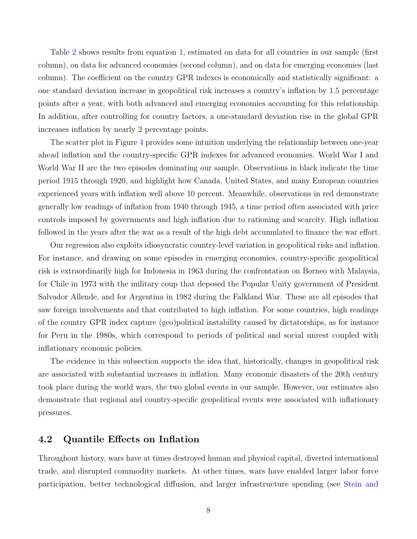Table [2](#page-14-0) shows results from equation [1,](#page-6-1) estimated on data for all countries in our sample (first column), on data for advanced economies (second column), and on data for emerging economies (last column). The coefficient on the country GPR indexes is economically and statistically significant: a one standard deviation increase in geopolitical risk increases a country's inflation by 1.5 percentage points after a year, with both advanced and emerging economies accounting for this relationship. In addition, after controlling for country factors, a one-standard deviation rise in the global GPR increases inflation by nearly 2 percentage points.

The scatter plot in Figure [4](#page-24-0) provides some intuition underlying the relationship between one-year ahead inflation and the country-specific GPR indexes for advanced economies. World War I and World War II are the two episodes dominating our sample. Observations in black indicate the time period 1915 through 1920, and highlight how Canada, United States, and many European countries experienced years with inflation well above 10 percent. Meanwhile, observations in red demonstrate generally low readings of inflation from 1940 through 1945, a time period often associated with price controls imposed by governments and high inflation due to rationing and scarcity. High inflation followed in the years after the war as a result of the high debt accumulated to finance the war effort.

Our regression also exploits idiosyncratic country-level variation in geopolitical risks and inflation. For instance, and drawing on some episodes in emerging economies, country-specific geopolitical risk is extraordinarily high for Indonesia in 1963 during the confrontation on Borneo with Malaysia, for Chile in 1973 with the military coup that deposed the Popular Unity government of President Salvador Allende, and for Argentina in 1982 during the Falkland War. These are all episodes that saw foreign involvements and that contributed to high inflation. For some countries, high readings of the country GPR index capture (geo)political instability caused by dictatorships, as for instance for Peru in the 1980s, which correspond to periods of political and social unrest coupled with inflationary economic policies.

The evidence in this subsection supports the idea that, historically, changes in geopolitical risk are associated with substantial increases in inflation. Many economic disasters of the 20th century took place during the world wars, the two global events in our sample. However, our estimates also demonstrate that regional and country-specific geopolitical events were associated with inflationary pressures.

### 4.2 Quantile Effects on Inflation

Throughout history, wars have at times destroyed human and physical capital, diverted international trade, and disrupted commodity markets. At other times, wars have enabled larger labor force participation, better technological diffusion, and larger infrastructure spending (see [Stein and](#page-12-3)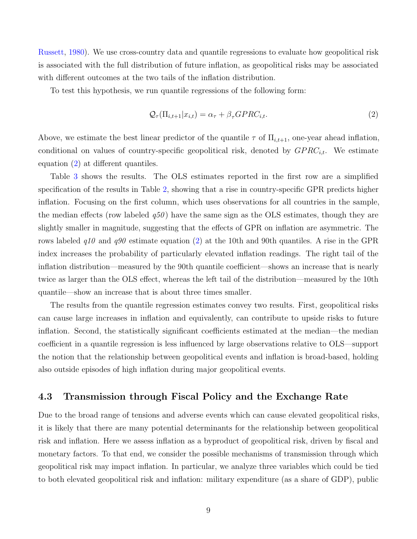[Russett,](#page-12-3) [1980\)](#page-12-3). We use cross-country data and quantile regressions to evaluate how geopolitical risk is associated with the full distribution of future inflation, as geopolitical risks may be associated with different outcomes at the two tails of the inflation distribution.

To test this hypothesis, we run quantile regressions of the following form:

<span id="page-8-0"></span>
$$
\mathcal{Q}_{\tau}(\Pi_{i,t+1}|x_{i,t}) = \alpha_{\tau} + \beta_{\tau} GPRC_{i,t}.
$$
\n
$$
(2)
$$

Above, we estimate the best linear predictor of the quantile  $\tau$  of  $\Pi_{i,t+1}$ , one-year ahead inflation, conditional on values of country-specific geopolitical risk, denoted by  $GPRC_{i,t}$ . We estimate equation [\(2\)](#page-8-0) at different quantiles.

Table [3](#page-15-0) shows the results. The OLS estimates reported in the first row are a simplified specification of the results in Table [2,](#page-14-0) showing that a rise in country-specific GPR predicts higher inflation. Focusing on the first column, which uses observations for all countries in the sample, the median effects (row labeled  $q50$ ) have the same sign as the OLS estimates, though they are slightly smaller in magnitude, suggesting that the effects of GPR on inflation are asymmetric. The rows labeled  $q10$  and  $q90$  estimate equation [\(2\)](#page-8-0) at the 10th and 90th quantiles. A rise in the GPR index increases the probability of particularly elevated inflation readings. The right tail of the inflation distribution—measured by the 90th quantile coefficient—shows an increase that is nearly twice as larger than the OLS effect, whereas the left tail of the distribution—measured by the 10th quantile—show an increase that is about three times smaller.

The results from the quantile regression estimates convey two results. First, geopolitical risks can cause large increases in inflation and equivalently, can contribute to upside risks to future inflation. Second, the statistically significant coefficients estimated at the median—the median coefficient in a quantile regression is less influenced by large observations relative to OLS—support the notion that the relationship between geopolitical events and inflation is broad-based, holding also outside episodes of high inflation during major geopolitical events.

#### 4.3 Transmission through Fiscal Policy and the Exchange Rate

Due to the broad range of tensions and adverse events which can cause elevated geopolitical risks, it is likely that there are many potential determinants for the relationship between geopolitical risk and inflation. Here we assess inflation as a byproduct of geopolitical risk, driven by fiscal and monetary factors. To that end, we consider the possible mechanisms of transmission through which geopolitical risk may impact inflation. In particular, we analyze three variables which could be tied to both elevated geopolitical risk and inflation: military expenditure (as a share of GDP), public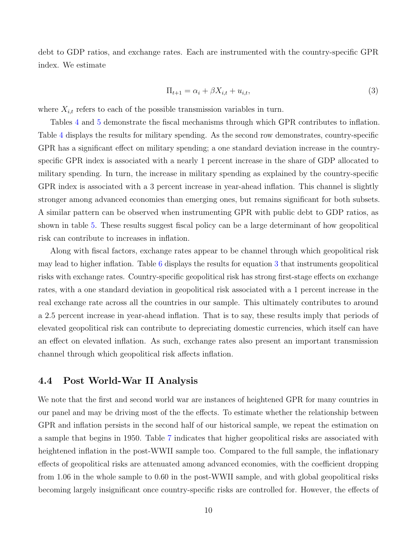debt to GDP ratios, and exchange rates. Each are instrumented with the country-specific GPR index. We estimate

<span id="page-9-0"></span>
$$
\Pi_{t+1} = \alpha_i + \beta X_{i,t} + u_{i,t},\tag{3}
$$

where  $X_{i,t}$  refers to each of the possible transmission variables in turn.

Tables [4](#page-16-0) and [5](#page-17-0) demonstrate the fiscal mechanisms through which GPR contributes to inflation. Table [4](#page-16-0) displays the results for military spending. As the second row demonstrates, country-specific GPR has a significant effect on military spending; a one standard deviation increase in the countryspecific GPR index is associated with a nearly 1 percent increase in the share of GDP allocated to military spending. In turn, the increase in military spending as explained by the country-specific GPR index is associated with a 3 percent increase in year-ahead inflation. This channel is slightly stronger among advanced economies than emerging ones, but remains significant for both subsets. A similar pattern can be observed when instrumenting GPR with public debt to GDP ratios, as shown in table [5.](#page-17-0) These results suggest fiscal policy can be a large determinant of how geopolitical risk can contribute to increases in inflation.

Along with fiscal factors, exchange rates appear to be channel through which geopolitical risk may lead to higher inflation. Table [6](#page-18-0) displays the results for equation [3](#page-9-0) that instruments geopolitical risks with exchange rates. Country-specific geopolitical risk has strong first-stage effects on exchange rates, with a one standard deviation in geopolitical risk associated with a 1 percent increase in the real exchange rate across all the countries in our sample. This ultimately contributes to around a 2.5 percent increase in year-ahead inflation. That is to say, these results imply that periods of elevated geopolitical risk can contribute to depreciating domestic currencies, which itself can have an effect on elevated inflation. As such, exchange rates also present an important transmission channel through which geopolitical risk affects inflation.

#### 4.4 Post World-War II Analysis

We note that the first and second world war are instances of heightened GPR for many countries in our panel and may be driving most of the the effects. To estimate whether the relationship between GPR and inflation persists in the second half of our historical sample, we repeat the estimation on a sample that begins in 1950. Table [7](#page-19-0) indicates that higher geopolitical risks are associated with heightened inflation in the post-WWII sample too. Compared to the full sample, the inflationary effects of geopolitical risks are attenuated among advanced economies, with the coefficient dropping from 1.06 in the whole sample to 0.60 in the post-WWII sample, and with global geopolitical risks becoming largely insignificant once country-specific risks are controlled for. However, the effects of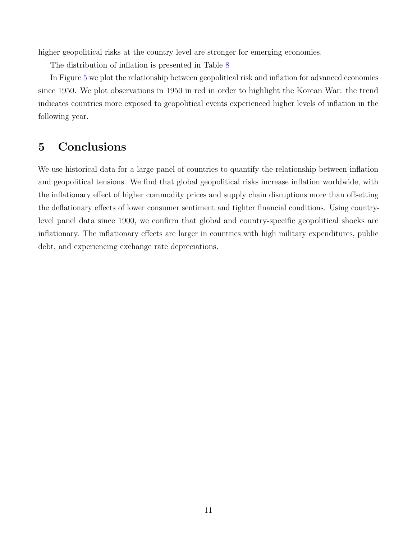higher geopolitical risks at the country level are stronger for emerging economies.

The distribution of inflation is presented in Table [8](#page-20-0)

In Figure [5](#page-25-0) we plot the relationship between geopolitical risk and inflation for advanced economies since 1950. We plot observations in 1950 in red in order to highlight the Korean War: the trend indicates countries more exposed to geopolitical events experienced higher levels of inflation in the following year.

## 5 Conclusions

We use historical data for a large panel of countries to quantify the relationship between inflation and geopolitical tensions. We find that global geopolitical risks increase inflation worldwide, with the inflationary effect of higher commodity prices and supply chain disruptions more than offsetting the deflationary effects of lower consumer sentiment and tighter financial conditions. Using countrylevel panel data since 1900, we confirm that global and country-specific geopolitical shocks are inflationary. The inflationary effects are larger in countries with high military expenditures, public debt, and experiencing exchange rate depreciations.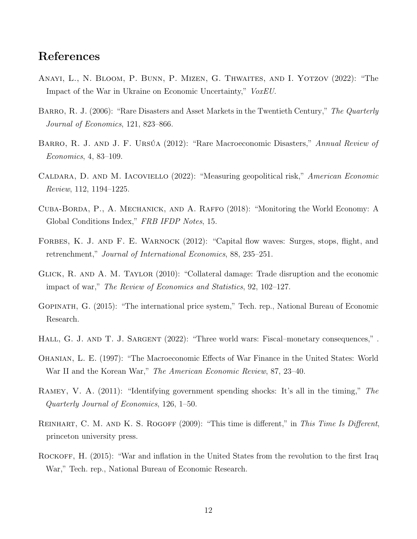### References

- <span id="page-11-1"></span>Anayi, L., N. Bloom, P. Bunn, P. Mizen, G. Thwaites, and I. Yotzov (2022): "The Impact of the War in Ukraine on Economic Uncertainty," VoxEU.
- <span id="page-11-3"></span>BARRO, R. J. (2006): "Rare Disasters and Asset Markets in the Twentieth Century," The Quarterly Journal of Economics, 121, 823–866.
- <span id="page-11-11"></span>BARRO, R. J. AND J. F. URSÚA (2012): "Rare Macroeconomic Disasters," Annual Review of Economics, 4, 83–109.
- <span id="page-11-0"></span>Caldara, D. and M. Iacoviello (2022): "Measuring geopolitical risk," American Economic Review, 112, 1194–1225.
- <span id="page-11-9"></span>Cuba-Borda, P., A. Mechanick, and A. Raffo (2018): "Monitoring the World Economy: A Global Conditions Index," FRB IFDP Notes, 15.
- <span id="page-11-2"></span>FORBES, K. J. AND F. E. WARNOCK (2012): "Capital flow waves: Surges, stops, flight, and retrenchment," Journal of International Economics, 88, 235–251.
- <span id="page-11-12"></span>Glick, R. and A. M. Taylor (2010): "Collateral damage: Trade disruption and the economic impact of war," The Review of Economics and Statistics, 92, 102–127.
- <span id="page-11-8"></span>Gopinath, G. (2015): "The international price system," Tech. rep., National Bureau of Economic Research.
- <span id="page-11-6"></span>HALL, G. J. AND T. J. SARGENT (2022): "Three world wars: Fiscal–monetary consequences,".
- <span id="page-11-4"></span>Ohanian, L. E. (1997): "The Macroeconomic Effects of War Finance in the United States: World War II and the Korean War," The American Economic Review, 87, 23–40.
- <span id="page-11-5"></span>Ramey, V. A. (2011): "Identifying government spending shocks: It's all in the timing," The Quarterly Journal of Economics, 126, 1–50.
- <span id="page-11-10"></span>REINHART, C. M. AND K. S. ROGOFF (2009): "This time is different," in This Time Is Different, princeton university press.
- <span id="page-11-7"></span>ROCKOFF, H. (2015): "War and inflation in the United States from the revolution to the first Iraq War," Tech. rep., National Bureau of Economic Research.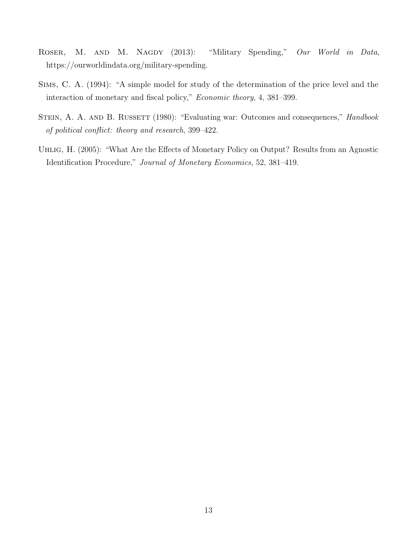- <span id="page-12-1"></span>ROSER, M. AND M. NAGDY (2013): "Military Spending," Our World in Data, https://ourworldindata.org/military-spending.
- <span id="page-12-0"></span>Sims, C. A. (1994): "A simple model for study of the determination of the price level and the interaction of monetary and fiscal policy," Economic theory, 4, 381–399.
- <span id="page-12-3"></span>STEIN, A. A. AND B. RUSSETT (1980): "Evaluating war: Outcomes and consequences," *Handbook* of political conflict: theory and research, 399–422.
- <span id="page-12-2"></span>Uhlig, H. (2005): "What Are the Effects of Monetary Policy on Output? Results from an Agnostic Identification Procedure," Journal of Monetary Economics, 52, 381–419.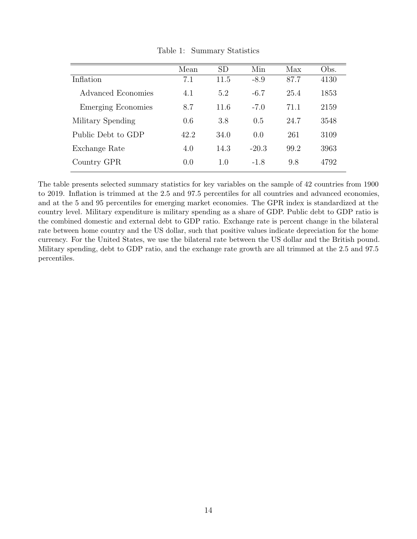<span id="page-13-0"></span>

|                           | Mean | <b>SD</b> | Min     | Max  | Obs. |
|---------------------------|------|-----------|---------|------|------|
| Inflation                 | 7.1  | 11.5      | $-8.9$  | 87.7 | 4130 |
| Advanced Economies        | 4.1  | 5.2       | $-6.7$  | 25.4 | 1853 |
| <b>Emerging Economies</b> | 8.7  | 11.6      | $-7.0$  | 71.1 | 2159 |
| Military Spending         | 0.6  | 3.8       | 0.5     | 24.7 | 3548 |
| Public Debt to GDP        | 42.2 | 34.0      | 0.0     | 261  | 3109 |
| Exchange Rate             | 4.0  | 14.3      | $-20.3$ | 99.2 | 3963 |
| Country GPR               | 0.0  | 1.0       | $-1.8$  | 9.8  | 4792 |

Table 1: Summary Statistics

The table presents selected summary statistics for key variables on the sample of 42 countries from 1900 to 2019. Inflation is trimmed at the 2.5 and 97.5 percentiles for all countries and advanced economies, and at the 5 and 95 percentiles for emerging market economies. The GPR index is standardized at the country level. Military expenditure is military spending as a share of GDP. Public debt to GDP ratio is the combined domestic and external debt to GDP ratio. Exchange rate is percent change in the bilateral rate between home country and the US dollar, such that positive values indicate depreciation for the home currency. For the United States, we use the bilateral rate between the US dollar and the British pound. Military spending, debt to GDP ratio, and the exchange rate growth are all trimmed at the 2.5 and 97.5 percentiles.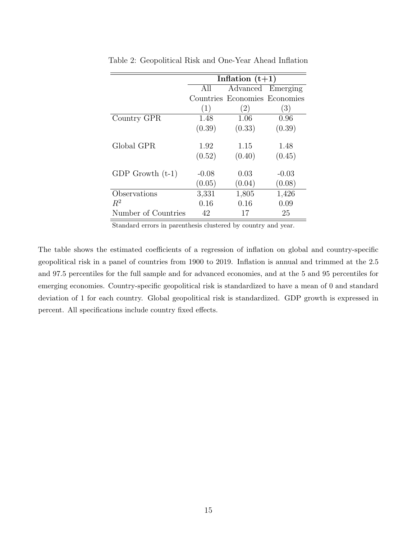|                     |         | Inflation $(t+1)$             |                  |
|---------------------|---------|-------------------------------|------------------|
|                     | All     | Advanced Emerging             |                  |
|                     |         | Countries Economies Economies |                  |
|                     | (1)     | $\left( 2\right)$             | $\left(3\right)$ |
| Country GPR         | 1.48    | 1.06                          | 0.96             |
|                     | (0.39)  | (0.33)                        | (0.39)           |
| Global GPR          | 1.92    | 1.15                          | 1.48             |
|                     | (0.52)  | (0.40)                        | (0.45)           |
| GDP Growth $(t-1)$  | $-0.08$ | 0.03                          | $-0.03$          |
|                     | (0.05)  | (0.04)                        | (0.08)           |
| Observations        | 3,331   | 1,805                         | 1,426            |
| $R^2$               | 0.16    | 0.16                          | 0.09             |
| Number of Countries | 42      | 17                            | 25               |

<span id="page-14-0"></span>Table 2: Geopolitical Risk and One-Year Ahead Inflation

Standard errors in parenthesis clustered by country and year.

The table shows the estimated coefficients of a regression of inflation on global and country-specific geopolitical risk in a panel of countries from 1900 to 2019. Inflation is annual and trimmed at the 2.5 and 97.5 percentiles for the full sample and for advanced economies, and at the 5 and 95 percentiles for emerging economies. Country-specific geopolitical risk is standardized to have a mean of 0 and standard deviation of 1 for each country. Global geopolitical risk is standardized. GDP growth is expressed in percent. All specifications include country fixed effects.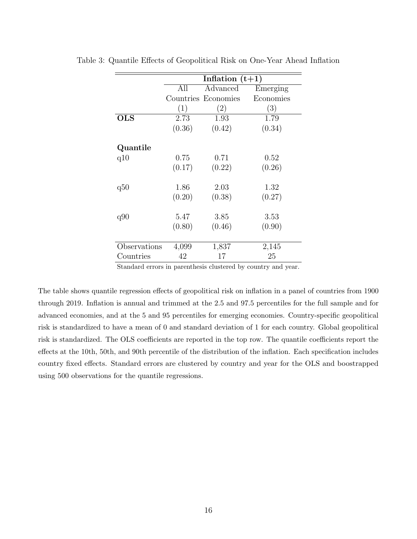|              |        | Inflation $(t+1)$   |           |
|--------------|--------|---------------------|-----------|
|              | All    | Advanced            | Emerging  |
|              |        | Countries Economies | Economies |
|              | (1)    | (2)                 | (3)       |
| <b>OLS</b>   | 2.73   | 1.93                | 1.79      |
|              | (0.36) | (0.42)              | (0.34)    |
| Quantile     |        |                     |           |
| q10          | 0.75   | 0.71                | 0.52      |
|              | (0.17) | (0.22)              | (0.26)    |
| q50          | 1.86   | 2.03                | 1.32      |
|              | (0.20) | (0.38)              | (0.27)    |
| q90          | 5.47   | 3.85                | 3.53      |
|              | (0.80) | (0.46)              | (0.90)    |
|              |        |                     |           |
| Observations | 4,099  | 1,837               | 2,145     |
| Countries    | 42     | 17                  | 25        |

<span id="page-15-0"></span>Table 3: Quantile Effects of Geopolitical Risk on One-Year Ahead Inflation

Standard errors in parenthesis clustered by country and year.

The table shows quantile regression effects of geopolitical risk on inflation in a panel of countries from 1900 through 2019. Inflation is annual and trimmed at the 2.5 and 97.5 percentiles for the full sample and for advanced economies, and at the 5 and 95 percentiles for emerging economies. Country-specific geopolitical risk is standardized to have a mean of 0 and standard deviation of 1 for each country. Global geopolitical risk is standardized. The OLS coefficients are reported in the top row. The quantile coefficients report the effects at the 10th, 50th, and 90th percentile of the distribution of the inflation. Each specification includes country fixed effects. Standard errors are clustered by country and year for the OLS and boostrapped using 500 observations for the quantile regressions.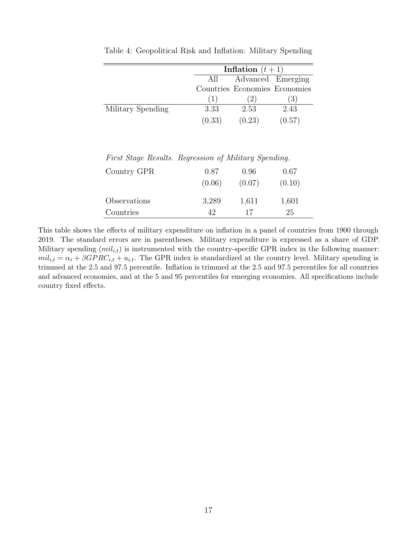|                   | Inflation $(t+1)$ |                               |        |
|-------------------|-------------------|-------------------------------|--------|
|                   | All               | Advanced Emerging             |        |
|                   |                   | Countries Economies Economies |        |
|                   | (1)               | (2)                           | (3)    |
| Military Spending | 3.33              | 2.53                          | 2.43   |
|                   | (0.33)            | (0.23)                        | (0.57) |

<span id="page-16-0"></span>Table 4: Geopolitical Risk and Inflation: Military Spending

First Stage Results. Regression of Military Spending.

| Country GPR  | 0.87   | 0.96   | 0.67   |
|--------------|--------|--------|--------|
|              | (0.06) | (0.07) | (0.10) |
| Observations | 3,289  | 1,611  | 1,601  |
| Countries    | 42     | 17     | 25     |

This table shows the effects of military expenditure on inflation in a panel of countries from 1900 through 2019. The standard errors are in parentheses. Military expenditure is expressed as a share of GDP. Military spending  $(mil_{i,t})$  is instrumented with the country-specific GPR index in the following manner:  $mil_{i,t} = \alpha_i + \beta GPRC_{i,t} + u_{i,t}$ . The GPR index is standardized at the country level. Military spending is trimmed at the 2.5 and 97.5 percentile. Inflation is trimmed at the 2.5 and 97.5 percentiles for all countries and advanced economies, and at the 5 and 95 percentiles for emerging economies. All specifications include country fixed effects.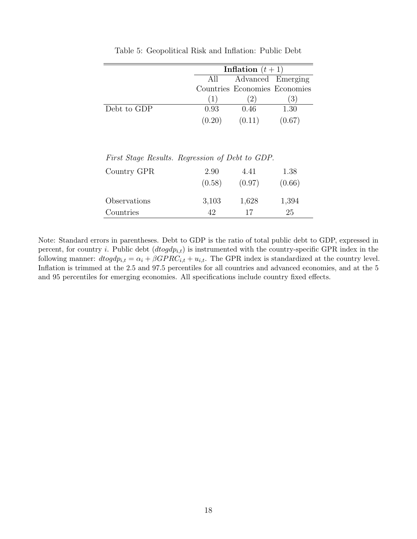<span id="page-17-0"></span>

|             |        | Inflation $(t+1)$             |        |
|-------------|--------|-------------------------------|--------|
|             | All    | Advanced Emerging             |        |
|             |        | Countries Economies Economies |        |
|             | (1)    | (2)                           | (3)    |
| Debt to GDP | 0.93   | 0.46                          | 1.30   |
|             | (0.20) | (0.11)                        | (0.67) |

Table 5: Geopolitical Risk and Inflation: Public Debt

First Stage Results. Regression of Debt to GDP.

| Country GPR  | 2.90   | 4.41   | 1.38   |
|--------------|--------|--------|--------|
|              | (0.58) | (0.97) | (0.66) |
| Observations | 3,103  | 1,628  | 1,394  |
| Countries    | 42     | 17     | 25     |

Note: Standard errors in parentheses. Debt to GDP is the ratio of total public debt to GDP, expressed in percent, for country i. Public debt  $(dtogdp_{i,t})$  is instrumented with the country-specific GPR index in the following manner:  $dtogdp_{i,t} = \alpha_i + \beta GPRC_{i,t} + u_{i,t}$ . The GPR index is standardized at the country level. Inflation is trimmed at the 2.5 and 97.5 percentiles for all countries and advanced economies, and at the 5 and 95 percentiles for emerging economies. All specifications include country fixed effects.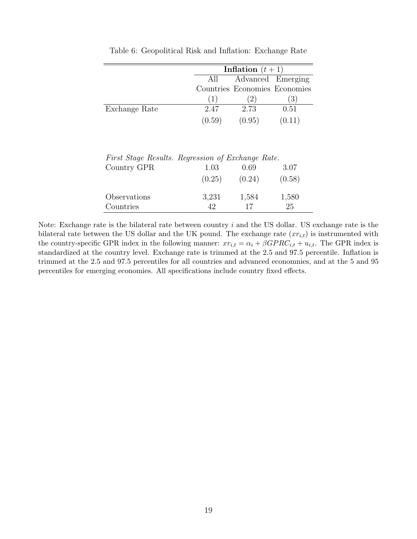<span id="page-18-0"></span>

|               |        | Inflation $(t+1)$             |                   |  |
|---------------|--------|-------------------------------|-------------------|--|
|               | All    |                               | Advanced Emerging |  |
|               |        | Countries Economies Economies |                   |  |
|               | (1)    |                               | (3)               |  |
| Exchange Rate | 2.47   | 2.73                          | 0.51              |  |
|               | (0.59) | (0.95)                        | (0.11)            |  |

Table 6: Geopolitical Risk and Inflation: Exchange Rate

| First Stage Results. Regression of Exchange Rate. |        |        |        |
|---------------------------------------------------|--------|--------|--------|
| Country GPR                                       | 1.03   | 0.69   | 3.07   |
|                                                   | (0.25) | (0.24) | (0.58) |
| Observations                                      | 3,231  | 1,584  | 1,580  |
| Countries                                         | 49     | 17     | 25     |

Note: Exchange rate is the bilateral rate between country i and the US dollar. US exchange rate is the bilateral rate between the US dollar and the UK pound. The exchange rate  $(xr_{i,t})$  is instrumented with the country-specific GPR index in the following manner:  $xr_{i,t} = \alpha_i + \beta GPRC_{i,t} + u_{i,t}$ . The GPR index is standardized at the country level. Exchange rate is trimmed at the 2.5 and 97.5 percentile. Inflation is trimmed at the 2.5 and 97.5 percentiles for all countries and advanced economnies, and at the 5 and 95 percentiles for emerging economies. All specifications include country fixed effects.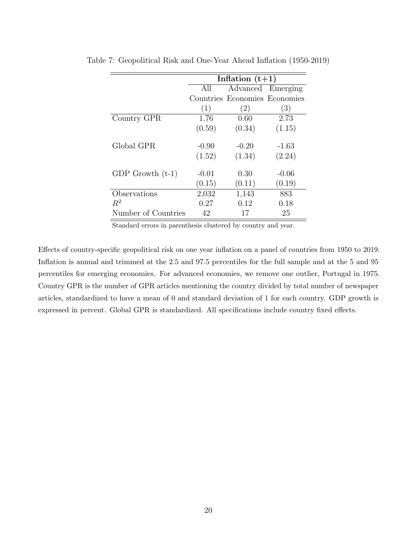|                     |         | Inflation $(t+1)$             |         |
|---------------------|---------|-------------------------------|---------|
|                     | All     | Advanced Emerging             |         |
|                     |         | Countries Economies Economies |         |
|                     | (1)     | (2)                           | (3)     |
| Country GPR         | 1.76    | 0.60                          | 2.73    |
|                     | (0.59)  | (0.34)                        | (1.15)  |
| Global GPR          | $-0.90$ | $-0.20$                       | $-1.63$ |
|                     | (1.52)  | (1.34)                        | (2.24)  |
| GDP Growth $(t-1)$  | $-0.01$ | 0.30                          | $-0.06$ |
|                     | (0.15)  | (0.11)                        | (0.19)  |
| Observations        | 2,032   | 1,143                         | 883     |
| $R^2$               | 0.27    | 0.12                          | 0.18    |
| Number of Countries | 42      | 17                            | 25      |

<span id="page-19-0"></span>Table 7: Geopolitical Risk and One-Year Ahead Inflation (1950-2019)

Standard errors in parenthesis clustered by country and year.

Effects of country-specific geopolitical risk on one year inflation on a panel of countries from 1950 to 2019. Inflation is annual and trimmed at the 2.5 and 97.5 percentiles for the full sample and at the 5 and 95 percentiles for emerging economies. For advanced economies, we remove one outlier, Portugal in 1975. Country GPR is the number of GPR articles mentioning the country divided by total number of newspaper articles, standardized to have a mean of 0 and standard deviation of 1 for each country. GDP growth is expressed in percent. Global GPR is standardized. All specifications include country fixed effects.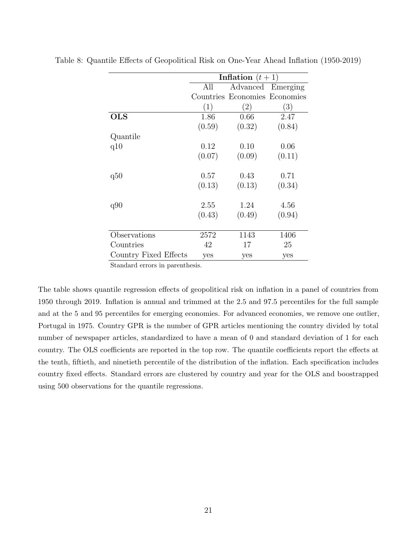|                       |        | Inflation $(t+1)$             |                   |
|-----------------------|--------|-------------------------------|-------------------|
|                       | All    |                               | Advanced Emerging |
|                       |        | Countries Economies Economies |                   |
|                       | (1)    | (2)                           | (3)               |
| $_{\rm OLS}$          | 1.86   | 0.66                          | 2.47              |
|                       | (0.59) | (0.32)                        | (0.84)            |
| Quantile              |        |                               |                   |
| q10                   | 0.12   | 0.10                          | 0.06              |
|                       | (0.07) | (0.09)                        | (0.11)            |
| q50                   | 0.57   | 0.43                          | 0.71              |
|                       | (0.13) | (0.13)                        | (0.34)            |
| q90                   | 2.55   | 1.24                          | 4.56              |
|                       | (0.43) | (0.49)                        | (0.94)            |
| Observations          | 2572   | 1143                          | 1406              |
|                       |        |                               |                   |
| Countries             | 42     | 17                            | 25                |
| Country Fixed Effects | yes    | yes                           | yes               |

<span id="page-20-0"></span>Table 8: Quantile Effects of Geopolitical Risk on One-Year Ahead Inflation (1950-2019)

Standard errors in parenthesis.

The table shows quantile regression effects of geopolitical risk on inflation in a panel of countries from 1950 through 2019. Inflation is annual and trimmed at the 2.5 and 97.5 percentiles for the full sample and at the 5 and 95 percentiles for emerging economies. For advanced economies, we remove one outlier, Portugal in 1975. Country GPR is the number of GPR articles mentioning the country divided by total number of newspaper articles, standardized to have a mean of 0 and standard deviation of 1 for each country. The OLS coefficients are reported in the top row. The quantile coefficients report the effects at the tenth, fiftieth, and ninetieth percentile of the distribution of the inflation. Each specification includes country fixed effects. Standard errors are clustered by country and year for the OLS and boostrapped using 500 observations for the quantile regressions.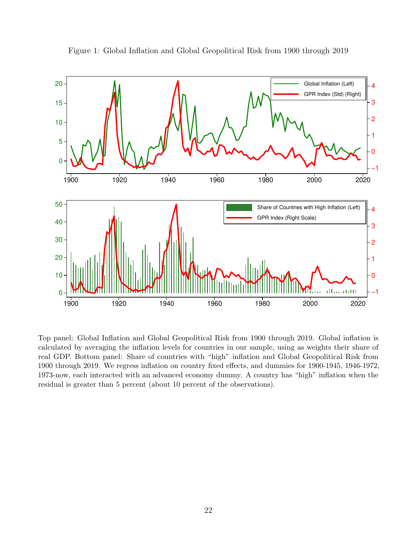<span id="page-21-0"></span>

Figure 1: Global Inflation and Global Geopolitical Risk from 1900 through 2019

Top panel: Global Inflation and Global Geopolitical Risk from 1900 through 2019. Global inflation is calculated by averaging the inflation levels for countries in our sample, using as weights their share of real GDP. Bottom panel: Share of countries with "high" inflation and Global Geopolitical Risk from 1900 through 2019. We regress inflation on country fixed effects, and dummies for 1900-1945, 1946-1972, 1973-now, each interacted with an advanced economy dummy. A country has "high" inflation when the residual is greater than 5 percent (about 10 percent of the observations).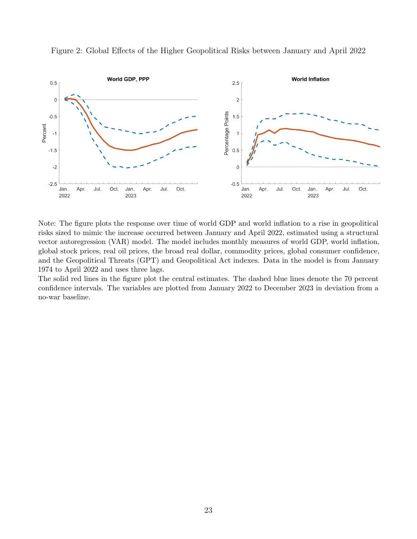

<span id="page-22-0"></span>Figure 2: Global Effects of the Higher Geopolitical Risks between January and April 2022

Note: The figure plots the response over time of world GDP and world inflation to a rise in geopolitical risks sized to mimic the increase occurred between January and April 2022, estimated using a structural vector autoregression (VAR) model. The model includes monthly measures of world GDP, world inflation, global stock prices, real oil prices, the broad real dollar, commodity prices, global consumer confidence, and the Geopolitical Threats (GPT) and Geopolitical Act indexes. Data in the model is from January 1974 to April 2022 and uses three lags.

The solid red lines in the figure plot the central estimates. The dashed blue lines denote the 70 percent confidence intervals. The variables are plotted from January 2022 to December 2023 in deviation from a no-war baseline.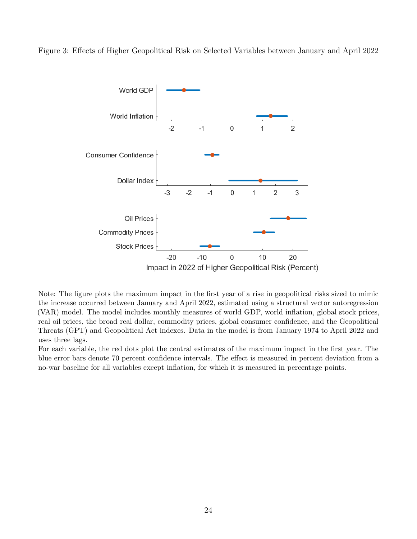<span id="page-23-0"></span>Figure 3: Effects of Higher Geopolitical Risk on Selected Variables between January and April 2022



Note: The figure plots the maximum impact in the first year of a rise in geopolitical risks sized to mimic the increase occurred between January and April 2022, estimated using a structural vector autoregression (VAR) model. The model includes monthly measures of world GDP, world inflation, global stock prices, real oil prices, the broad real dollar, commodity prices, global consumer confidence, and the Geopolitical Threats (GPT) and Geopolitical Act indexes. Data in the model is from January 1974 to April 2022 and uses three lags.

For each variable, the red dots plot the central estimates of the maximum impact in the first year. The blue error bars denote 70 percent confidence intervals. The effect is measured in percent deviation from a no-war baseline for all variables except inflation, for which it is measured in percentage points.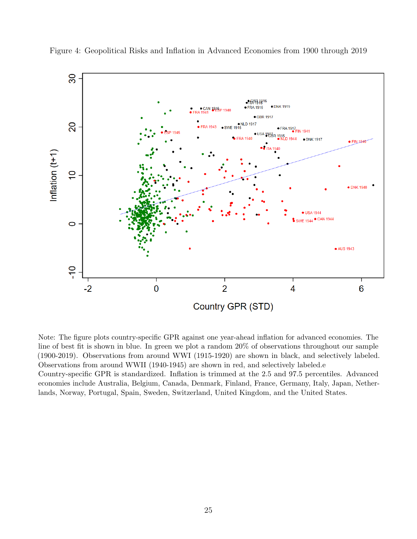

<span id="page-24-0"></span>Figure 4: Geopolitical Risks and Inflation in Advanced Economies from 1900 through 2019

Note: The figure plots country-specific GPR against one year-ahead inflation for advanced economies. The line of best fit is shown in blue. In green we plot a random 20% of observations throughout our sample (1900-2019). Observations from around WWI (1915-1920) are shown in black, and selectively labeled. Observations from around WWII (1940-1945) are shown in red, and selectively labeled.e Country-specific GPR is standardized. Inflation is trimmed at the 2.5 and 97.5 percentiles. Advanced economies include Australia, Belgium, Canada, Denmark, Finland, France, Germany, Italy, Japan, Netherlands, Norway, Portugal, Spain, Sweden, Switzerland, United Kingdom, and the United States.